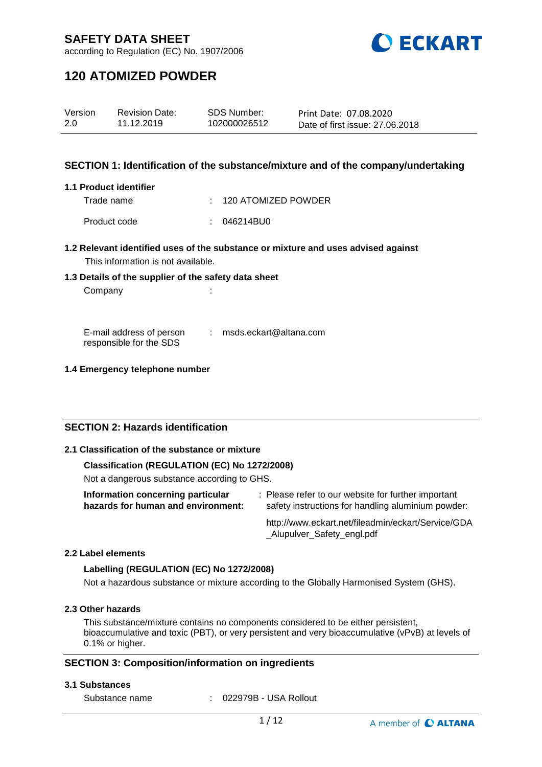

according to Regulation (EC) No. 1907/2006

# **120 ATOMIZED POWDER**

| Version | <b>Revision Date:</b> | <b>SDS Number:</b> | Print Date: 07.08.2020          |
|---------|-----------------------|--------------------|---------------------------------|
| 2.0     | 11.12.2019            | 102000026512       | Date of first issue: 27,06,2018 |

### **SECTION 1: Identification of the substance/mixture and of the company/undertaking**

### **1.1 Product identifier**

Trade name : 120 ATOMIZED POWDER

- Product code : 046214BU0
- **1.2 Relevant identified uses of the substance or mixture and uses advised against** This information is not available.
- **1.3 Details of the supplier of the safety data sheet**

Company the company of the company of the company  $\mathcal{L}$ :

E-mail address of person responsible for the SDS : msds.eckart@altana.com

### **1.4 Emergency telephone number**

### **SECTION 2: Hazards identification**

### **2.1 Classification of the substance or mixture**

### **Classification (REGULATION (EC) No 1272/2008)**

Not a dangerous substance according to GHS.

| Information concerning particular  | : Please refer to our website for further important |
|------------------------------------|-----------------------------------------------------|
| hazards for human and environment: | safety instructions for handling aluminium powder:  |
|                                    | http://www.eckart.net/fileadmin/eckart/Service/GDA  |

### \_Alupulver\_Safety\_engl.pdf

### **2.2 Label elements**

### **Labelling (REGULATION (EC) No 1272/2008)**

Not a hazardous substance or mixture according to the Globally Harmonised System (GHS).

### **2.3 Other hazards**

This substance/mixture contains no components considered to be either persistent, bioaccumulative and toxic (PBT), or very persistent and very bioaccumulative (vPvB) at levels of 0.1% or higher.

### **SECTION 3: Composition/information on ingredients**

#### **3.1 Substances**

Substance name : 022979B - USA Rollout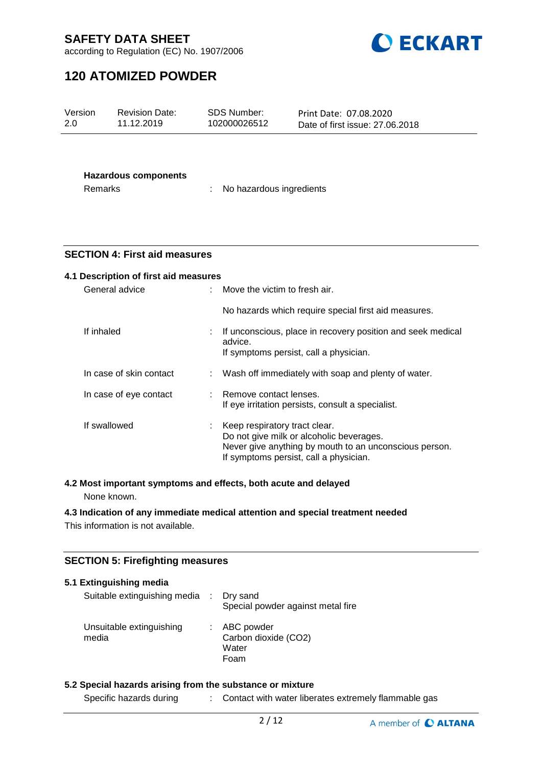

according to Regulation (EC) No. 1907/2006

# **120 ATOMIZED POWDER**

| Version<br>2.0 | <b>Revision Date:</b><br>11.12.2019   |   | <b>SDS Number:</b><br>102000026512 | Print Date: 07.08.2020<br>Date of first issue: 27,06,2018                                                                                    |
|----------------|---------------------------------------|---|------------------------------------|----------------------------------------------------------------------------------------------------------------------------------------------|
| Remarks        | <b>Hazardous components</b>           |   | No hazardous ingredients           |                                                                                                                                              |
|                | <b>SECTION 4: First aid measures</b>  |   |                                    |                                                                                                                                              |
|                | 4.1 Description of first aid measures |   |                                    |                                                                                                                                              |
|                | General advice                        |   | Move the victim to fresh air.      |                                                                                                                                              |
|                |                                       |   |                                    | No hazards which require special first aid measures.                                                                                         |
| If inhaled     |                                       |   | advice.                            | If unconscious, place in recovery position and seek medical<br>If symptoms persist, call a physician.                                        |
|                | In case of skin contact               |   |                                    | Wash off immediately with soap and plenty of water.                                                                                          |
|                | In case of eye contact                | ÷ | Remove contact lenses.             | If eye irritation persists, consult a specialist.                                                                                            |
|                | If swallowed                          |   | Keep respiratory tract clear.      | Do not give milk or alcoholic beverages.<br>Never give anything by mouth to an unconscious person.<br>If symptoms persist, call a physician. |

### **4.2 Most important symptoms and effects, both acute and delayed**

None known.

### **4.3 Indication of any immediate medical attention and special treatment needed**

This information is not available.

### **SECTION 5: Firefighting measures**

| 5.1 Extinguishing media<br>Suitable extinguishing media : Dry sand | Special powder against metal fire                       |
|--------------------------------------------------------------------|---------------------------------------------------------|
| Unsuitable extinguishing<br>media                                  | $:$ ABC powder<br>Carbon dioxide (CO2)<br>Water<br>Foam |

### **5.2 Special hazards arising from the substance or mixture**

Specific hazards during : Contact with water liberates extremely flammable gas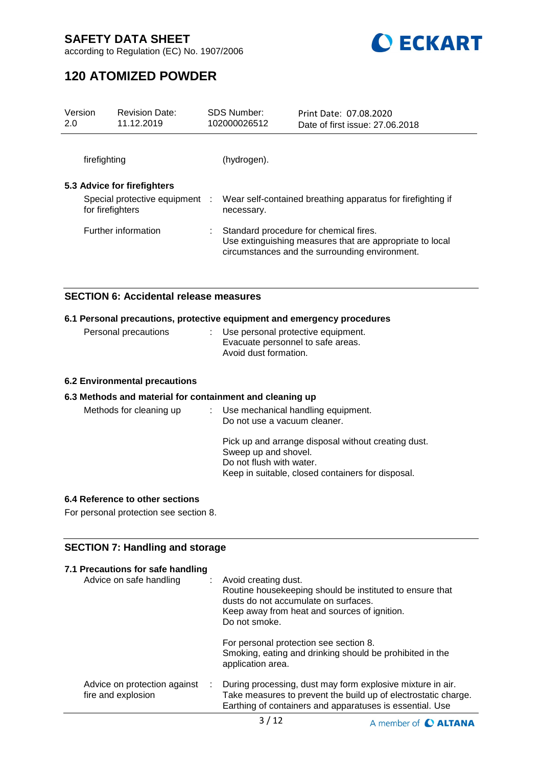

according to Regulation (EC) No. 1907/2006

# **120 ATOMIZED POWDER**

| Version<br>2.0                                     |              | <b>Revision Date:</b><br>11.12.2019 | SDS Number:<br>102000026512                                 | Print Date: 07.08.2020<br>Date of first issue: 27,06,2018                                                                                            |
|----------------------------------------------------|--------------|-------------------------------------|-------------------------------------------------------------|------------------------------------------------------------------------------------------------------------------------------------------------------|
|                                                    | firefighting |                                     | (hydrogen).                                                 |                                                                                                                                                      |
|                                                    |              | 5.3 Advice for firefighters         |                                                             |                                                                                                                                                      |
| Special protective equipment :<br>for firefighters |              | necessary.                          | Wear self-contained breathing apparatus for firefighting if |                                                                                                                                                      |
|                                                    |              | <b>Further information</b>          |                                                             | Standard procedure for chemical fires.<br>Use extinguishing measures that are appropriate to local<br>circumstances and the surrounding environment. |

## **SECTION 6: Accidental release measures**

### **6.1 Personal precautions, protective equipment and emergency procedures**

| Personal precautions | : Use personal protective equipment. |
|----------------------|--------------------------------------|
|                      | Evacuate personnel to safe areas.    |
|                      | Avoid dust formation.                |

### **6.2 Environmental precautions**

### **6.3 Methods and material for containment and cleaning up**

| Methods for cleaning up | Use mechanical handling equipment.<br>Do not use a vacuum cleaner.                                                                                           |
|-------------------------|--------------------------------------------------------------------------------------------------------------------------------------------------------------|
|                         | Pick up and arrange disposal without creating dust.<br>Sweep up and shovel.<br>Do not flush with water.<br>Keep in suitable, closed containers for disposal. |

### **6.4 Reference to other sections**

For personal protection see section 8.

## **SECTION 7: Handling and storage**

| 7.1 Precautions for safe handling<br>Advice on safe handling | Avoid creating dust.<br>Routine housekeeping should be instituted to ensure that<br>dusts do not accumulate on surfaces.<br>Keep away from heat and sources of ignition.<br>Do not smoke. |
|--------------------------------------------------------------|-------------------------------------------------------------------------------------------------------------------------------------------------------------------------------------------|
|                                                              | For personal protection see section 8.<br>Smoking, eating and drinking should be prohibited in the<br>application area.                                                                   |
| Advice on protection against<br>÷.<br>fire and explosion     | During processing, dust may form explosive mixture in air.<br>Take measures to prevent the build up of electrostatic charge.<br>Earthing of containers and apparatuses is essential. Use  |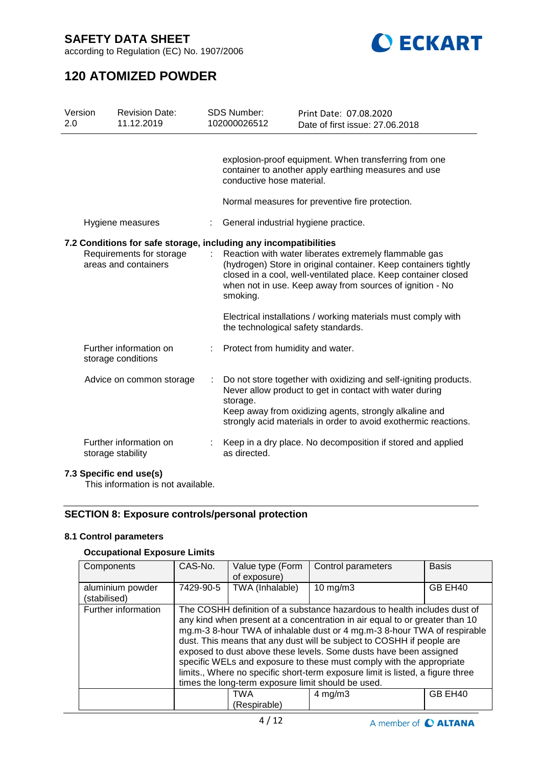

according to Regulation (EC) No. 1907/2006

# **120 ATOMIZED POWDER**

| Version<br>2.0 | <b>Revision Date:</b><br>11.12.2019                                                                                  | <b>SDS Number:</b><br>102000026512              | Print Date: 07.08.2020<br>Date of first issue: 27.06.2018                                                                                                                                                                                                                                                               |
|----------------|----------------------------------------------------------------------------------------------------------------------|-------------------------------------------------|-------------------------------------------------------------------------------------------------------------------------------------------------------------------------------------------------------------------------------------------------------------------------------------------------------------------------|
|                |                                                                                                                      | conductive hose material.                       | explosion-proof equipment. When transferring from one<br>container to another apply earthing measures and use<br>Normal measures for preventive fire protection.                                                                                                                                                        |
|                | Hygiene measures                                                                                                     | : General industrial hygiene practice.          |                                                                                                                                                                                                                                                                                                                         |
|                | 7.2 Conditions for safe storage, including any incompatibilities<br>Requirements for storage<br>areas and containers | smoking.<br>the technological safety standards. | Reaction with water liberates extremely flammable gas<br>(hydrogen) Store in original container. Keep containers tightly<br>closed in a cool, well-ventilated place. Keep container closed<br>when not in use. Keep away from sources of ignition - No<br>Electrical installations / working materials must comply with |
|                | Further information on<br>storage conditions                                                                         | Protect from humidity and water.                |                                                                                                                                                                                                                                                                                                                         |
|                | Advice on common storage                                                                                             | storage.                                        | Do not store together with oxidizing and self-igniting products.<br>Never allow product to get in contact with water during<br>Keep away from oxidizing agents, strongly alkaline and<br>strongly acid materials in order to avoid exothermic reactions.                                                                |
|                | Further information on<br>storage stability                                                                          | as directed.                                    | Keep in a dry place. No decomposition if stored and applied                                                                                                                                                                                                                                                             |

## **7.3 Specific end use(s)**

This information is not available.

## **SECTION 8: Exposure controls/personal protection**

### **8.1 Control parameters**

### **Occupational Exposure Limits**

| Components                       | CAS-No.                                                                                                                                                                                                                                                                                                                                                                                                                                                                                                                                                                                           | Value type (Form<br>of exposure) | Control parameters | <b>Basis</b> |
|----------------------------------|---------------------------------------------------------------------------------------------------------------------------------------------------------------------------------------------------------------------------------------------------------------------------------------------------------------------------------------------------------------------------------------------------------------------------------------------------------------------------------------------------------------------------------------------------------------------------------------------------|----------------------------------|--------------------|--------------|
| aluminium powder<br>(stabilised) | 7429-90-5                                                                                                                                                                                                                                                                                                                                                                                                                                                                                                                                                                                         | TWA (Inhalable)                  | $10$ mg/m $3$      | GB EH40      |
| Further information              | The COSHH definition of a substance hazardous to health includes dust of<br>any kind when present at a concentration in air equal to or greater than 10<br>mg.m-3 8-hour TWA of inhalable dust or 4 mg.m-3 8-hour TWA of respirable<br>dust. This means that any dust will be subject to COSHH if people are<br>exposed to dust above these levels. Some dusts have been assigned<br>specific WELs and exposure to these must comply with the appropriate<br>limits., Where no specific short-term exposure limit is listed, a figure three<br>times the long-term exposure limit should be used. |                                  |                    |              |
|                                  |                                                                                                                                                                                                                                                                                                                                                                                                                                                                                                                                                                                                   | <b>TWA</b><br>(Respirable)       | $4$ mg/m $3$       | GB EH40      |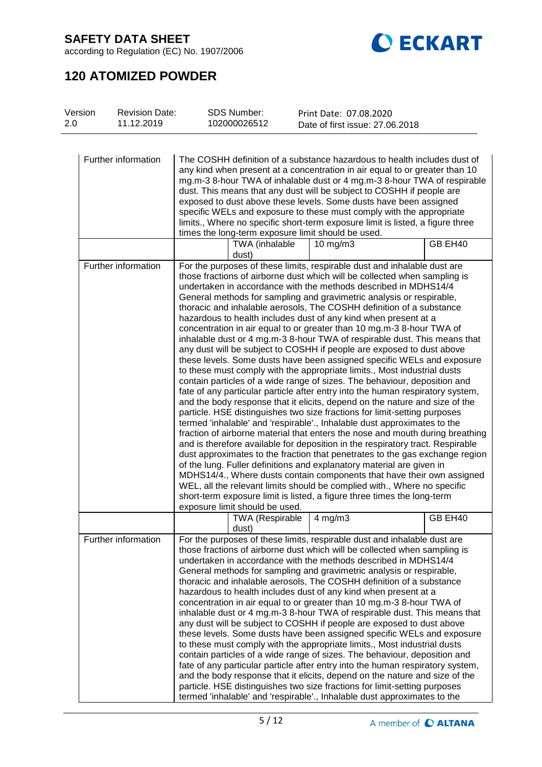according to Regulation (EC) No. 1907/2006



# **120 ATOMIZED POWDER**

| Version<br><b>Revision Date:</b><br>2.0<br>11.12.2019 | <b>SDS Number:</b><br>102000026512                 | Print Date: 07.08.2020<br>Date of first issue: 27.06.2018                                                                                                                                                                                                                                                                                                                                                                                                                                                                                                                                                                                                                                                                                                                                                                                                                                                                                                                                                                                                                                                                                                                                                                                                                                                                                                                                                                                                                                                                                                                                                                                                                                                                                                                                            |         |
|-------------------------------------------------------|----------------------------------------------------|------------------------------------------------------------------------------------------------------------------------------------------------------------------------------------------------------------------------------------------------------------------------------------------------------------------------------------------------------------------------------------------------------------------------------------------------------------------------------------------------------------------------------------------------------------------------------------------------------------------------------------------------------------------------------------------------------------------------------------------------------------------------------------------------------------------------------------------------------------------------------------------------------------------------------------------------------------------------------------------------------------------------------------------------------------------------------------------------------------------------------------------------------------------------------------------------------------------------------------------------------------------------------------------------------------------------------------------------------------------------------------------------------------------------------------------------------------------------------------------------------------------------------------------------------------------------------------------------------------------------------------------------------------------------------------------------------------------------------------------------------------------------------------------------------|---------|
| Further information                                   | times the long-term exposure limit should be used. | The COSHH definition of a substance hazardous to health includes dust of<br>any kind when present at a concentration in air equal to or greater than 10<br>mg.m-3 8-hour TWA of inhalable dust or 4 mg.m-3 8-hour TWA of respirable<br>dust. This means that any dust will be subject to COSHH if people are<br>exposed to dust above these levels. Some dusts have been assigned<br>specific WELs and exposure to these must comply with the appropriate<br>limits., Where no specific short-term exposure limit is listed, a figure three                                                                                                                                                                                                                                                                                                                                                                                                                                                                                                                                                                                                                                                                                                                                                                                                                                                                                                                                                                                                                                                                                                                                                                                                                                                          |         |
|                                                       | TWA (inhalable<br>dust)                            | 10 mg/m3                                                                                                                                                                                                                                                                                                                                                                                                                                                                                                                                                                                                                                                                                                                                                                                                                                                                                                                                                                                                                                                                                                                                                                                                                                                                                                                                                                                                                                                                                                                                                                                                                                                                                                                                                                                             | GB EH40 |
| Further information                                   | exposure limit should be used.                     | For the purposes of these limits, respirable dust and inhalable dust are<br>those fractions of airborne dust which will be collected when sampling is<br>undertaken in accordance with the methods described in MDHS14/4<br>General methods for sampling and gravimetric analysis or respirable,<br>thoracic and inhalable aerosols, The COSHH definition of a substance<br>hazardous to health includes dust of any kind when present at a<br>concentration in air equal to or greater than 10 mg.m-3 8-hour TWA of<br>inhalable dust or 4 mg.m-3 8-hour TWA of respirable dust. This means that<br>any dust will be subject to COSHH if people are exposed to dust above<br>these levels. Some dusts have been assigned specific WELs and exposure<br>to these must comply with the appropriate limits., Most industrial dusts<br>contain particles of a wide range of sizes. The behaviour, deposition and<br>fate of any particular particle after entry into the human respiratory system,<br>and the body response that it elicits, depend on the nature and size of the<br>particle. HSE distinguishes two size fractions for limit-setting purposes<br>termed 'inhalable' and 'respirable'., Inhalable dust approximates to the<br>fraction of airborne material that enters the nose and mouth during breathing<br>and is therefore available for deposition in the respiratory tract. Respirable<br>dust approximates to the fraction that penetrates to the gas exchange region<br>of the lung. Fuller definitions and explanatory material are given in<br>MDHS14/4., Where dusts contain components that have their own assigned<br>WEL, all the relevant limits should be complied with., Where no specific<br>short-term exposure limit is listed, a figure three times the long-term |         |
|                                                       | TWA (Respirable   4 mg/m3<br>dust)                 |                                                                                                                                                                                                                                                                                                                                                                                                                                                                                                                                                                                                                                                                                                                                                                                                                                                                                                                                                                                                                                                                                                                                                                                                                                                                                                                                                                                                                                                                                                                                                                                                                                                                                                                                                                                                      | GB EH40 |
| Further information                                   |                                                    | For the purposes of these limits, respirable dust and inhalable dust are<br>those fractions of airborne dust which will be collected when sampling is<br>undertaken in accordance with the methods described in MDHS14/4<br>General methods for sampling and gravimetric analysis or respirable,<br>thoracic and inhalable aerosols, The COSHH definition of a substance<br>hazardous to health includes dust of any kind when present at a<br>concentration in air equal to or greater than 10 mg.m-3 8-hour TWA of<br>inhalable dust or 4 mg.m-3 8-hour TWA of respirable dust. This means that<br>any dust will be subject to COSHH if people are exposed to dust above<br>these levels. Some dusts have been assigned specific WELs and exposure<br>to these must comply with the appropriate limits., Most industrial dusts<br>contain particles of a wide range of sizes. The behaviour, deposition and<br>fate of any particular particle after entry into the human respiratory system,<br>and the body response that it elicits, depend on the nature and size of the<br>particle. HSE distinguishes two size fractions for limit-setting purposes<br>termed 'inhalable' and 'respirable'., Inhalable dust approximates to the                                                                                                                                                                                                                                                                                                                                                                                                                                                                                                                                                              |         |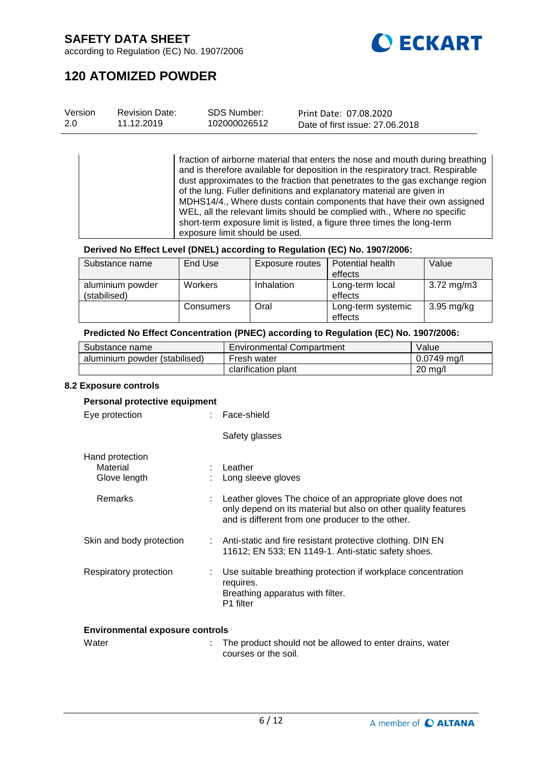

according to Regulation (EC) No. 1907/2006

# **120 ATOMIZED POWDER**

| Version | <b>Revision Date:</b> | <b>SDS Number:</b> | Print Date: 07.08.2020          |
|---------|-----------------------|--------------------|---------------------------------|
| 2.0     | 11.12.2019            | 102000026512       | Date of first issue: 27,06,2018 |

fraction of airborne material that enters the nose and mouth during breathing and is therefore available for deposition in the respiratory tract. Respirable dust approximates to the fraction that penetrates to the gas exchange region of the lung. Fuller definitions and explanatory material are given in MDHS14/4., Where dusts contain components that have their own assigned WEL, all the relevant limits should be complied with., Where no specific short-term exposure limit is listed, a figure three times the long-term exposure limit should be used.

#### **Derived No Effect Level (DNEL) according to Regulation (EC) No. 1907/2006:**

| Substance name                   | End Use   | Exposure routes | Potential health<br>effects   | Value                 |
|----------------------------------|-----------|-----------------|-------------------------------|-----------------------|
| aluminium powder<br>(stabilised) | Workers   | Inhalation      | Long-term local<br>effects    | $3.72 \text{ mg/m}$ 3 |
|                                  | Consumers | Oral            | Long-term systemic<br>effects | 3.95 mg/kg            |

### **Predicted No Effect Concentration (PNEC) according to Regulation (EC) No. 1907/2006:**

| Substance name                | <b>Environmental Compartment</b> | Value       |
|-------------------------------|----------------------------------|-------------|
| aluminium powder (stabilised) | Fresh water                      | 0.0749 mg/l |
|                               | clarification plant              | $20$ mg/l   |

#### **8.2 Exposure controls**

#### **Personal protective equipment**

| Eye protection                              | : Face-shield                                                                                                                                                                      |
|---------------------------------------------|------------------------------------------------------------------------------------------------------------------------------------------------------------------------------------|
|                                             | Safety glasses                                                                                                                                                                     |
| Hand protection<br>Material<br>Glove length | Leather<br>Long sleeve gloves                                                                                                                                                      |
| Remarks                                     | : Leather gloves The choice of an appropriate glove does not<br>only depend on its material but also on other quality features<br>and is different from one producer to the other. |
| Skin and body protection                    | : Anti-static and fire resistant protective clothing. DIN EN<br>11612; EN 533; EN 1149-1. Anti-static safety shoes.                                                                |
| Respiratory protection                      | : Use suitable breathing protection if workplace concentration<br>requires.<br>Breathing apparatus with filter.<br>P1 filter                                                       |

#### **Environmental exposure controls**

| Water | : The product should not be allowed to enter drains, water |
|-------|------------------------------------------------------------|
|       | courses or the soil.                                       |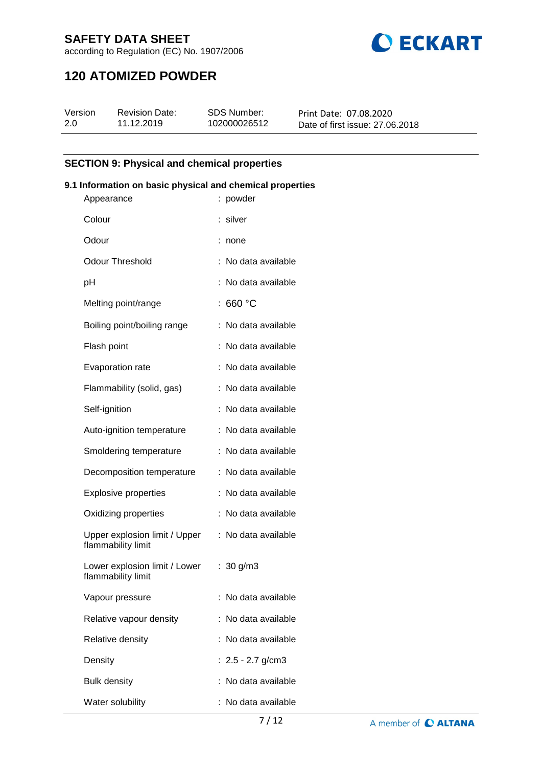

according to Regulation (EC) No. 1907/2006

# **120 ATOMIZED POWDER**

| Version | <b>Revision Date:</b> | SDS Number:  | Print Date: 07.08.2020          |
|---------|-----------------------|--------------|---------------------------------|
| 2.0     | 11.12.2019            | 102000026512 | Date of first issue: 27,06,2018 |

## **SECTION 9: Physical and chemical properties**

### **9.1 Information on basic physical and chemical properties**

| Appearance                                          | : powder            |
|-----------------------------------------------------|---------------------|
| Colour                                              | : silver            |
| Odour                                               | none                |
| <b>Odour Threshold</b>                              | No data available   |
| рH                                                  | No data available   |
| Melting point/range                                 | :660 °C             |
| Boiling point/boiling range                         | No data available   |
| Flash point                                         | No data available   |
| Evaporation rate                                    | No data available   |
| Flammability (solid, gas)                           | No data available   |
| Self-ignition                                       | No data available   |
| Auto-ignition temperature                           | No data available   |
| Smoldering temperature                              | No data available   |
| Decomposition temperature                           | No data available   |
| <b>Explosive properties</b>                         | No data available   |
| Oxidizing properties                                | No data available   |
| Upper explosion limit / Upper<br>flammability limit | No data available   |
| Lower explosion limit / Lower<br>flammability limit | : $30 g/m3$         |
| Vapour pressure                                     | No data available   |
| Relative vapour density                             | No data available   |
| Relative density                                    | No data available   |
| Density                                             | : $2.5 - 2.7$ g/cm3 |
| <b>Bulk density</b>                                 | No data available   |
| Water solubility                                    | No data available   |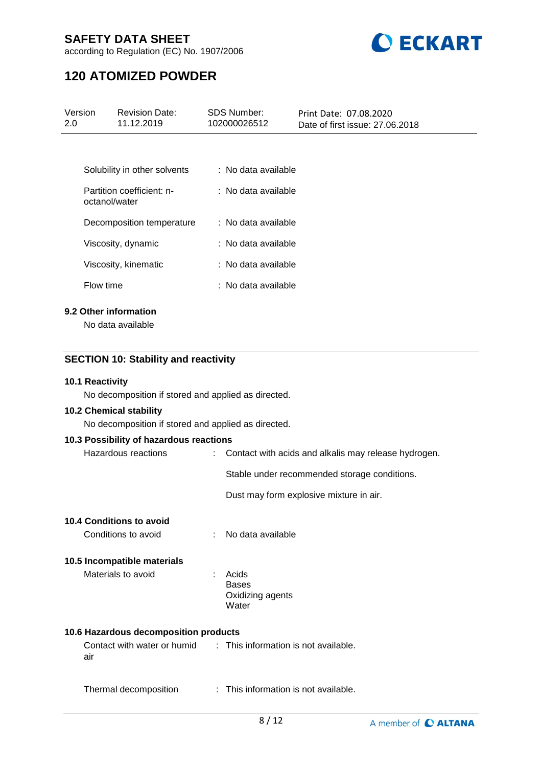



# **120 ATOMIZED POWDER**

| Version<br>2.0 | <b>Revision Date:</b><br>11.12.2019         | <b>SDS Number:</b><br>102000026512 | Print Date: 07.08.2020<br>Date of first issue: 27.06.2018 |
|----------------|---------------------------------------------|------------------------------------|-----------------------------------------------------------|
|                |                                             |                                    |                                                           |
|                | Solubility in other solvents                | : No data available                |                                                           |
|                | Partition coefficient: n-<br>octanol/water  | $:$ No data available              |                                                           |
|                | Decomposition temperature                   | : No data available                |                                                           |
|                | Viscosity, dynamic                          | : No data available                |                                                           |
|                | Viscosity, kinematic                        | : No data available                |                                                           |
| Flow time      |                                             | : No data available                |                                                           |
|                | 9.2 Other information<br>No data available  |                                    |                                                           |
|                | <b>SECTION 10: Stability and reactivity</b> |                                    |                                                           |

### **10.1 Reactivity**

No decomposition if stored and applied as directed.

### **10.2 Chemical stability**

No decomposition if stored and applied as directed.

|                     | 10.3 Possibility of hazardous reactions |                                                                  |
|---------------------|-----------------------------------------|------------------------------------------------------------------|
| Hazardous reactions |                                         | Contact with acids and alkalis may release hydrogen.             |
|                     |                                         | Stable under recommended storage conditions.                     |
|                     |                                         | Dust may form explosive mixture in air.                          |
|                     | 10.4 Conditions to avoid                |                                                                  |
|                     | Conditions to avoid                     | No data available                                                |
|                     | 10.5 Incompatible materials             |                                                                  |
|                     | Materials to avoid                      | Acids<br><b>Bases</b>                                            |
|                     |                                         | Oxidizing agents                                                 |
|                     |                                         | Water                                                            |
|                     | 10.6 Hazardous decomposition products   |                                                                  |
| air                 |                                         | Contact with water or humid : This information is not available. |
|                     | Thermal decomposition                   | : This information is not available.                             |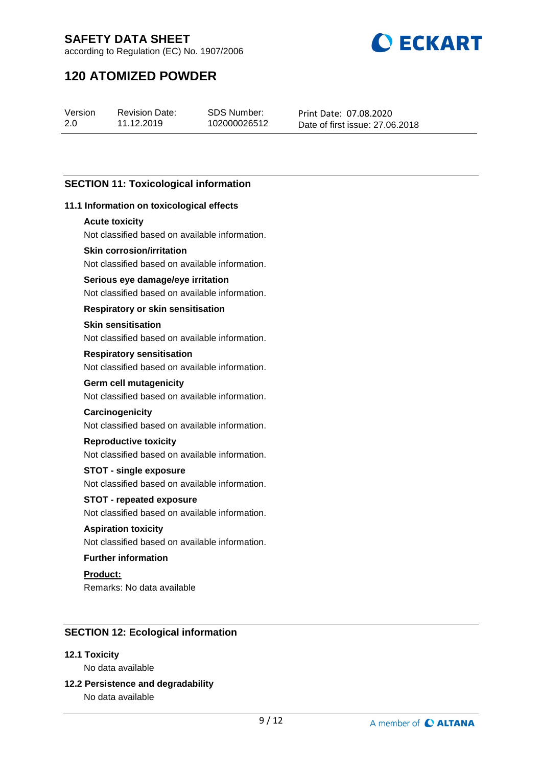

according to Regulation (EC) No. 1907/2006

# **120 ATOMIZED POWDER**

Version 2.0

Revision Date: 11.12.2019

SDS Number: 102000026512 Print Date: 07.08.2020 Date of first issue: 27.06.2018

## **SECTION 11: Toxicological information**

### **11.1 Information on toxicological effects**

#### **Acute toxicity**

Not classified based on available information.

### **Skin corrosion/irritation**

Not classified based on available information.

### **Serious eye damage/eye irritation**

Not classified based on available information.

### **Respiratory or skin sensitisation**

### **Skin sensitisation**

Not classified based on available information.

### **Respiratory sensitisation**

Not classified based on available information.

### **Germ cell mutagenicity**

Not classified based on available information.

## **Carcinogenicity**

Not classified based on available information.

#### **Reproductive toxicity**

Not classified based on available information.

### **STOT - single exposure**

Not classified based on available information.

## **STOT - repeated exposure**

Not classified based on available information.

### **Aspiration toxicity**

Not classified based on available information.

## **Further information**

# **Product:**

Remarks: No data available

### **SECTION 12: Ecological information**

### **12.1 Toxicity**

No data available

# **12.2 Persistence and degradability**

No data available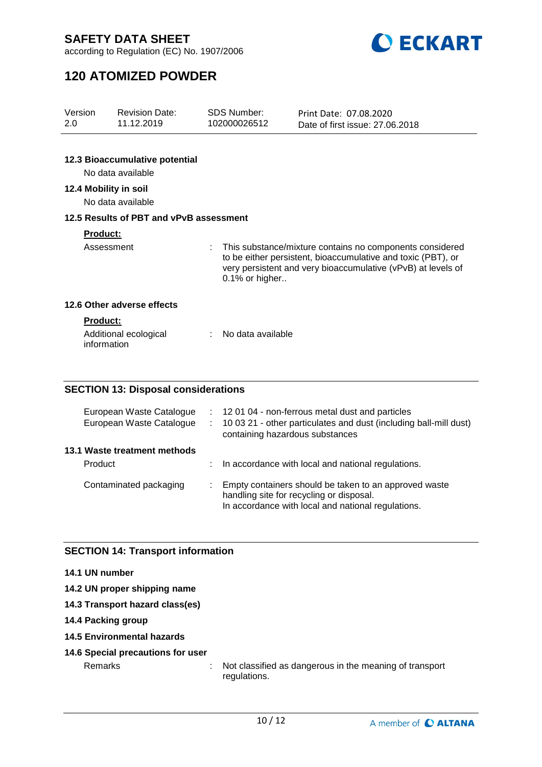

according to Regulation (EC) No. 1907/2006

# **120 ATOMIZED POWDER**

| Version<br>2.0 |                                | <b>Revision Date:</b><br>11.12.2019        | <b>SDS Number:</b><br>102000026512 | Print Date: 07.08.2020<br>Date of first issue: 27.06.2018                                                                                                                                |
|----------------|--------------------------------|--------------------------------------------|------------------------------------|------------------------------------------------------------------------------------------------------------------------------------------------------------------------------------------|
|                |                                | 12.3 Bioaccumulative potential             |                                    |                                                                                                                                                                                          |
|                |                                | No data available                          |                                    |                                                                                                                                                                                          |
|                |                                | 12.4 Mobility in soil<br>No data available |                                    |                                                                                                                                                                                          |
|                |                                | 12.5 Results of PBT and vPvB assessment    |                                    |                                                                                                                                                                                          |
|                | <b>Product:</b><br>Assessment  |                                            | $0.1\%$ or higher                  | This substance/mixture contains no components considered<br>to be either persistent, bioaccumulative and toxic (PBT), or<br>very persistent and very bioaccumulative (vPvB) at levels of |
|                |                                | 12.6 Other adverse effects                 |                                    |                                                                                                                                                                                          |
|                | <b>Product:</b><br>information | Additional ecological                      | No data available                  |                                                                                                                                                                                          |

## **SECTION 13: Disposal considerations**

|                                         | European Waste Catalogue<br>European Waste Catalogue | ÷. | : 12 01 04 - non-ferrous metal dust and particles<br>10 03 21 - other particulates and dust (including ball-mill dust)<br>containing hazardous substances |
|-----------------------------------------|------------------------------------------------------|----|-----------------------------------------------------------------------------------------------------------------------------------------------------------|
| 13.1 Waste treatment methods<br>Product |                                                      | ÷  | In accordance with local and national regulations.                                                                                                        |
| Contaminated packaging                  |                                                      |    | Empty containers should be taken to an approved waste<br>handling site for recycling or disposal.<br>In accordance with local and national regulations.   |

## **SECTION 14: Transport information**

### **14.1 UN number**

- **14.2 UN proper shipping name**
- **14.3 Transport hazard class(es)**
- **14.4 Packing group**
- **14.5 Environmental hazards**
- **14.6 Special precautions for user**

Remarks : Not classified as dangerous in the meaning of transport regulations.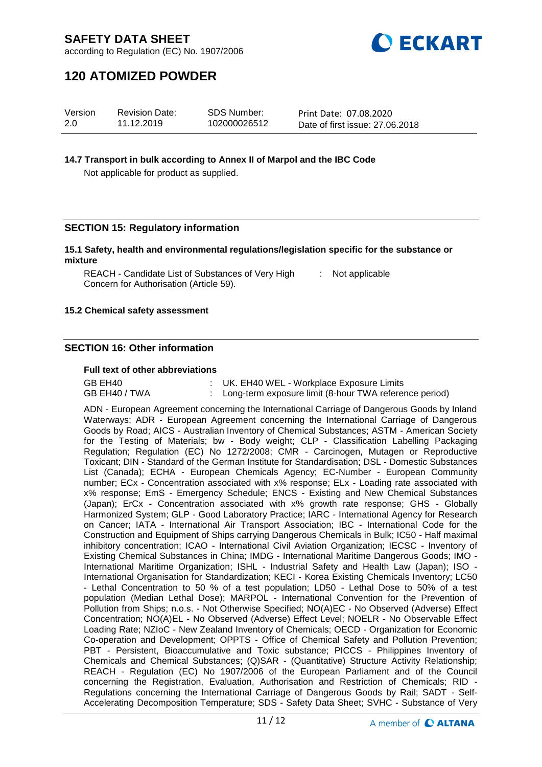

according to Regulation (EC) No. 1907/2006

# **120 ATOMIZED POWDER**

| Version | <b>Revision Date:</b> | SDS Number:  | Print Date: 07.08.2020          |
|---------|-----------------------|--------------|---------------------------------|
| 2.0     | 11.12.2019            | 102000026512 | Date of first issue: 27,06,2018 |

### **14.7 Transport in bulk according to Annex II of Marpol and the IBC Code**

Not applicable for product as supplied.

### **SECTION 15: Regulatory information**

### **15.1 Safety, health and environmental regulations/legislation specific for the substance or mixture**

REACH - Candidate List of Substances of Very High Concern for Authorisation (Article 59). : Not applicable

#### **15.2 Chemical safety assessment**

### **SECTION 16: Other information**

#### **Full text of other abbreviations**

| GB EH40       | : UK. EH40 WEL - Workplace Exposure Limits               |
|---------------|----------------------------------------------------------|
| GB EH40 / TWA | : Long-term exposure limit (8-hour TWA reference period) |

ADN - European Agreement concerning the International Carriage of Dangerous Goods by Inland Waterways; ADR - European Agreement concerning the International Carriage of Dangerous Goods by Road; AICS - Australian Inventory of Chemical Substances; ASTM - American Society for the Testing of Materials; bw - Body weight; CLP - Classification Labelling Packaging Regulation; Regulation (EC) No 1272/2008; CMR - Carcinogen, Mutagen or Reproductive Toxicant; DIN - Standard of the German Institute for Standardisation; DSL - Domestic Substances List (Canada); ECHA - European Chemicals Agency; EC-Number - European Community number; ECx - Concentration associated with x% response; ELx - Loading rate associated with x% response; EmS - Emergency Schedule; ENCS - Existing and New Chemical Substances (Japan); ErCx - Concentration associated with x% growth rate response; GHS - Globally Harmonized System; GLP - Good Laboratory Practice; IARC - International Agency for Research on Cancer; IATA - International Air Transport Association; IBC - International Code for the Construction and Equipment of Ships carrying Dangerous Chemicals in Bulk; IC50 - Half maximal inhibitory concentration; ICAO - International Civil Aviation Organization; IECSC - Inventory of Existing Chemical Substances in China; IMDG - International Maritime Dangerous Goods; IMO - International Maritime Organization; ISHL - Industrial Safety and Health Law (Japan); ISO - International Organisation for Standardization; KECI - Korea Existing Chemicals Inventory; LC50 - Lethal Concentration to 50 % of a test population; LD50 - Lethal Dose to 50% of a test population (Median Lethal Dose); MARPOL - International Convention for the Prevention of Pollution from Ships; n.o.s. - Not Otherwise Specified; NO(A)EC - No Observed (Adverse) Effect Concentration; NO(A)EL - No Observed (Adverse) Effect Level; NOELR - No Observable Effect Loading Rate; NZIoC - New Zealand Inventory of Chemicals; OECD - Organization for Economic Co-operation and Development; OPPTS - Office of Chemical Safety and Pollution Prevention; PBT - Persistent, Bioaccumulative and Toxic substance; PICCS - Philippines Inventory of Chemicals and Chemical Substances; (Q)SAR - (Quantitative) Structure Activity Relationship; REACH - Regulation (EC) No 1907/2006 of the European Parliament and of the Council concerning the Registration, Evaluation, Authorisation and Restriction of Chemicals; RID - Regulations concerning the International Carriage of Dangerous Goods by Rail; SADT - Self-Accelerating Decomposition Temperature; SDS - Safety Data Sheet; SVHC - Substance of Very